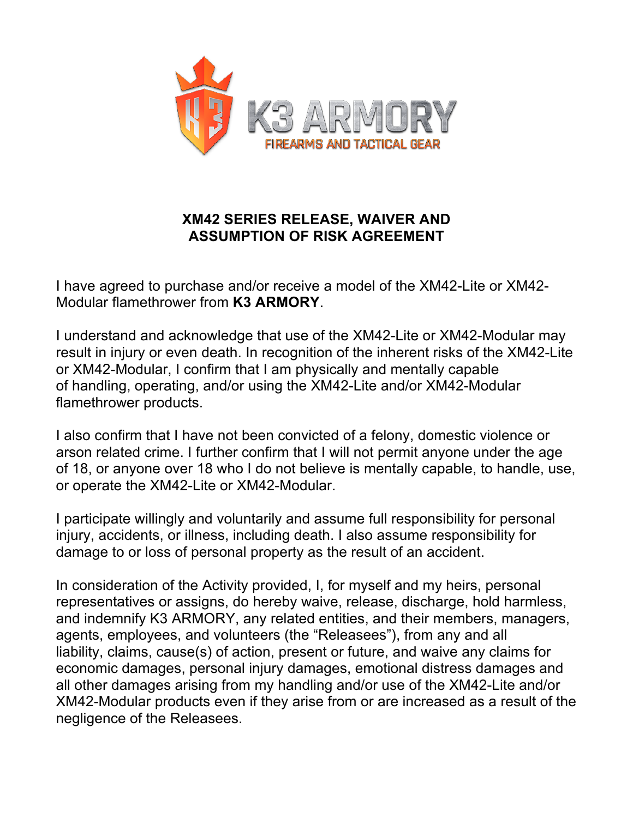

## **XM42 SERIES RELEASE, WAIVER AND ASSUMPTION OF RISK AGREEMENT**

I have agreed to purchase and/or receive a model of the XM42-Lite or XM42- Modular flamethrower from **K3 ARMORY**.

I understand and acknowledge that use of the XM42-Lite or XM42-Modular may result in injury or even death. In recognition of the inherent risks of the XM42-Lite or XM42-Modular, I confirm that I am physically and mentally capable of handling, operating, and/or using the XM42-Lite and/or XM42-Modular flamethrower products.

I also confirm that I have not been convicted of a felony, domestic violence or arson related crime. I further confirm that I will not permit anyone under the age of 18, or anyone over 18 who I do not believe is mentally capable, to handle, use, or operate the XM42-Lite or XM42-Modular.

I participate willingly and voluntarily and assume full responsibility for personal injury, accidents, or illness, including death. I also assume responsibility for damage to or loss of personal property as the result of an accident.

In consideration of the Activity provided, I, for myself and my heirs, personal representatives or assigns, do hereby waive, release, discharge, hold harmless, and indemnify K3 ARMORY, any related entities, and their members, managers, agents, employees, and volunteers (the "Releasees"), from any and all liability, claims, cause(s) of action, present or future, and waive any claims for economic damages, personal injury damages, emotional distress damages and all other damages arising from my handling and/or use of the XM42-Lite and/or XM42-Modular products even if they arise from or are increased as a result of the negligence of the Releasees.